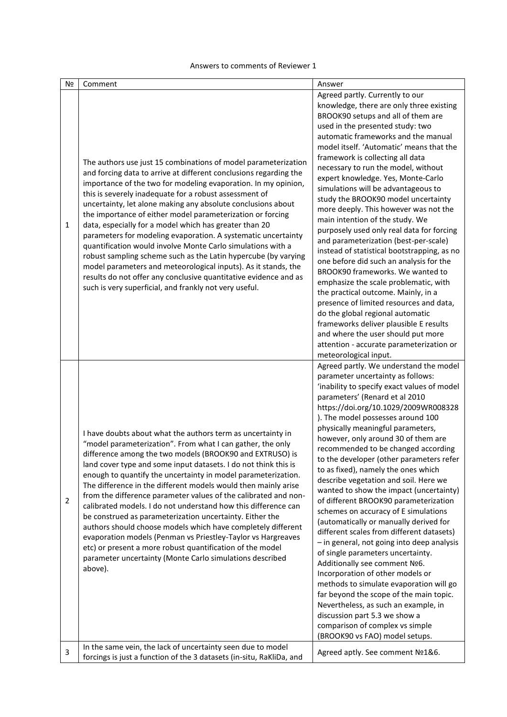## Answers to comments of Reviewer 1

| N <sub>2</sub> | Comment                                                                                                                                                                                                                                                                                                                                                                                                                                                                                                                                                                                                                                                                                                                                                                                                                                                          | Answer                                                                                                                                                                                                                                                                                                                                                                                                                                                                                                                                                                                                                                                                                                                                                                                                                                                                                                                                                                                                                                                                                                  |
|----------------|------------------------------------------------------------------------------------------------------------------------------------------------------------------------------------------------------------------------------------------------------------------------------------------------------------------------------------------------------------------------------------------------------------------------------------------------------------------------------------------------------------------------------------------------------------------------------------------------------------------------------------------------------------------------------------------------------------------------------------------------------------------------------------------------------------------------------------------------------------------|---------------------------------------------------------------------------------------------------------------------------------------------------------------------------------------------------------------------------------------------------------------------------------------------------------------------------------------------------------------------------------------------------------------------------------------------------------------------------------------------------------------------------------------------------------------------------------------------------------------------------------------------------------------------------------------------------------------------------------------------------------------------------------------------------------------------------------------------------------------------------------------------------------------------------------------------------------------------------------------------------------------------------------------------------------------------------------------------------------|
| 1              | The authors use just 15 combinations of model parameterization<br>and forcing data to arrive at different conclusions regarding the<br>importance of the two for modeling evaporation. In my opinion,<br>this is severely inadequate for a robust assessment of<br>uncertainty, let alone making any absolute conclusions about<br>the importance of either model parameterization or forcing<br>data, especially for a model which has greater than 20<br>parameters for modeling evaporation. A systematic uncertainty<br>quantification would involve Monte Carlo simulations with a<br>robust sampling scheme such as the Latin hypercube (by varying<br>model parameters and meteorological inputs). As it stands, the<br>results do not offer any conclusive quantitative evidence and as<br>such is very superficial, and frankly not very useful.        | Agreed partly. Currently to our<br>knowledge, there are only three existing<br>BROOK90 setups and all of them are<br>used in the presented study: two<br>automatic frameworks and the manual<br>model itself. 'Automatic' means that the<br>framework is collecting all data<br>necessary to run the model, without<br>expert knowledge. Yes, Monte-Carlo<br>simulations will be advantageous to<br>study the BROOK90 model uncertainty<br>more deeply. This however was not the<br>main intention of the study. We<br>purposely used only real data for forcing<br>and parameterization (best-per-scale)<br>instead of statistical bootstrapping, as no<br>one before did such an analysis for the<br>BROOK90 frameworks. We wanted to<br>emphasize the scale problematic, with<br>the practical outcome. Mainly, in a<br>presence of limited resources and data,<br>do the global regional automatic<br>frameworks deliver plausible E results<br>and where the user should put more<br>attention - accurate parameterization or<br>meteorological input.                                             |
| $\overline{2}$ | I have doubts about what the authors term as uncertainty in<br>"model parameterization". From what I can gather, the only<br>difference among the two models (BROOK90 and EXTRUSO) is<br>land cover type and some input datasets. I do not think this is<br>enough to quantify the uncertainty in model parameterization.<br>The difference in the different models would then mainly arise<br>from the difference parameter values of the calibrated and non-<br>calibrated models. I do not understand how this difference can<br>be construed as parameterization uncertainty. Either the<br>authors should choose models which have completely different<br>evaporation models (Penman vs Priestley-Taylor vs Hargreaves<br>etc) or present a more robust quantification of the model<br>parameter uncertainty (Monte Carlo simulations described<br>above). | Agreed partly. We understand the model<br>parameter uncertainty as follows:<br>'inability to specify exact values of model<br>parameters' (Renard et al 2010<br>https://doi.org/10.1029/2009WR008328<br>). The model possesses around 100<br>physically meaningful parameters,<br>however, only around 30 of them are<br>recommended to be changed according<br>to the developer (other parameters refer<br>to as fixed), namely the ones which<br>describe vegetation and soil. Here we<br>wanted to show the impact (uncertainty)<br>of different BROOK90 parameterization<br>schemes on accuracy of E simulations<br>(automatically or manually derived for<br>different scales from different datasets)<br>- in general, not going into deep analysis<br>of single parameters uncertainty.<br>Additionally see comment Nº6.<br>Incorporation of other models or<br>methods to simulate evaporation will go<br>far beyond the scope of the main topic.<br>Nevertheless, as such an example, in<br>discussion part 5.3 we show a<br>comparison of complex vs simple<br>(BROOK90 vs FAO) model setups. |
| 3              | In the same vein, the lack of uncertainty seen due to model<br>forcings is just a function of the 3 datasets (in-situ, RaKliDa, and                                                                                                                                                                                                                                                                                                                                                                                                                                                                                                                                                                                                                                                                                                                              | Agreed aptly. See comment Nº1&6.                                                                                                                                                                                                                                                                                                                                                                                                                                                                                                                                                                                                                                                                                                                                                                                                                                                                                                                                                                                                                                                                        |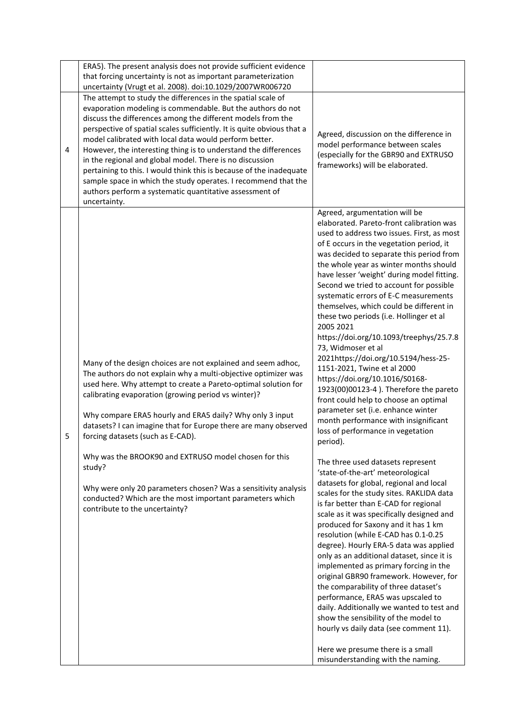|   | ERA5). The present analysis does not provide sufficient evidence<br>that forcing uncertainty is not as important parameterization<br>uncertainty (Vrugt et al. 2008). doi:10.1029/2007WR006720                                                                                                                                                                                                                                                                                                                                                                                                                                                                                    |                                                                                                                                                                                                                                                                                                                                                                                                                                                                                                                                                                                                                                                                                                                                                                                                                                                                                                                                                                                                                                                                                                                                                                                                                                                                                                                                                                                                                                                                                                                                                                                                                                                                                                  |
|---|-----------------------------------------------------------------------------------------------------------------------------------------------------------------------------------------------------------------------------------------------------------------------------------------------------------------------------------------------------------------------------------------------------------------------------------------------------------------------------------------------------------------------------------------------------------------------------------------------------------------------------------------------------------------------------------|--------------------------------------------------------------------------------------------------------------------------------------------------------------------------------------------------------------------------------------------------------------------------------------------------------------------------------------------------------------------------------------------------------------------------------------------------------------------------------------------------------------------------------------------------------------------------------------------------------------------------------------------------------------------------------------------------------------------------------------------------------------------------------------------------------------------------------------------------------------------------------------------------------------------------------------------------------------------------------------------------------------------------------------------------------------------------------------------------------------------------------------------------------------------------------------------------------------------------------------------------------------------------------------------------------------------------------------------------------------------------------------------------------------------------------------------------------------------------------------------------------------------------------------------------------------------------------------------------------------------------------------------------------------------------------------------------|
| 4 | The attempt to study the differences in the spatial scale of<br>evaporation modeling is commendable. But the authors do not<br>discuss the differences among the different models from the<br>perspective of spatial scales sufficiently. It is quite obvious that a<br>model calibrated with local data would perform better.<br>However, the interesting thing is to understand the differences<br>in the regional and global model. There is no discussion<br>pertaining to this. I would think this is because of the inadequate<br>sample space in which the study operates. I recommend that the<br>authors perform a systematic quantitative assessment of<br>uncertainty. | Agreed, discussion on the difference in<br>model performance between scales<br>(especially for the GBR90 and EXTRUSO<br>frameworks) will be elaborated.                                                                                                                                                                                                                                                                                                                                                                                                                                                                                                                                                                                                                                                                                                                                                                                                                                                                                                                                                                                                                                                                                                                                                                                                                                                                                                                                                                                                                                                                                                                                          |
| 5 | Many of the design choices are not explained and seem adhoc,<br>The authors do not explain why a multi-objective optimizer was<br>used here. Why attempt to create a Pareto-optimal solution for<br>calibrating evaporation (growing period vs winter)?<br>Why compare ERA5 hourly and ERA5 daily? Why only 3 input<br>datasets? I can imagine that for Europe there are many observed<br>forcing datasets (such as E-CAD).<br>Why was the BROOK90 and EXTRUSO model chosen for this<br>study?<br>Why were only 20 parameters chosen? Was a sensitivity analysis<br>conducted? Which are the most important parameters which<br>contribute to the uncertainty?                    | Agreed, argumentation will be<br>elaborated. Pareto-front calibration was<br>used to address two issues. First, as most<br>of E occurs in the vegetation period, it<br>was decided to separate this period from<br>the whole year as winter months should<br>have lesser 'weight' during model fitting.<br>Second we tried to account for possible<br>systematic errors of E-C measurements<br>themselves, which could be different in<br>these two periods (i.e. Hollinger et al<br>2005 2021<br>https://doi.org/10.1093/treephys/25.7.8<br>73, Widmoser et al<br>2021https://doi.org/10.5194/hess-25-<br>1151-2021, Twine et al 2000<br>https://doi.org/10.1016/S0168-<br>1923(00)00123-4). Therefore the pareto<br>front could help to choose an optimal<br>parameter set (i.e. enhance winter<br>month performance with insignificant<br>loss of performance in vegetation<br>period).<br>The three used datasets represent<br>'state-of-the-art' meteorological<br>datasets for global, regional and local<br>scales for the study sites. RAKLIDA data<br>is far better than E-CAD for regional<br>scale as it was specifically designed and<br>produced for Saxony and it has 1 km<br>resolution (while E-CAD has 0.1-0.25<br>degree). Hourly ERA-5 data was applied<br>only as an additional dataset, since it is<br>implemented as primary forcing in the<br>original GBR90 framework. However, for<br>the comparability of three dataset's<br>performance, ERA5 was upscaled to<br>daily. Additionally we wanted to test and<br>show the sensibility of the model to<br>hourly vs daily data (see comment 11).<br>Here we presume there is a small<br>misunderstanding with the naming. |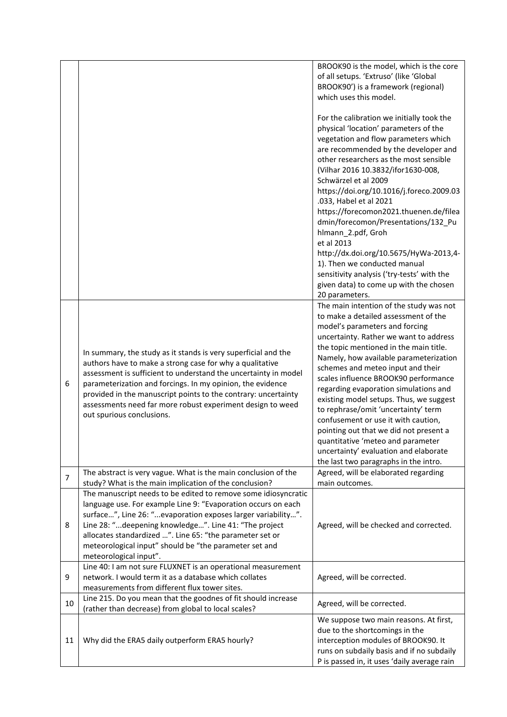|                |                                                                                                                                                                                                                                                                                                                                                                                                                                                                    | BROOK90 is the model, which is the core<br>of all setups. 'Extruso' (like 'Global<br>BROOK90') is a framework (regional)<br>which uses this model.<br>For the calibration we initially took the<br>physical 'location' parameters of the<br>vegetation and flow parameters which<br>are recommended by the developer and<br>other researchers as the most sensible<br>(Vilhar 2016 10.3832/ifor1630-008,<br>Schwärzel et al 2009                                                                                                                                                                                                                                |
|----------------|--------------------------------------------------------------------------------------------------------------------------------------------------------------------------------------------------------------------------------------------------------------------------------------------------------------------------------------------------------------------------------------------------------------------------------------------------------------------|-----------------------------------------------------------------------------------------------------------------------------------------------------------------------------------------------------------------------------------------------------------------------------------------------------------------------------------------------------------------------------------------------------------------------------------------------------------------------------------------------------------------------------------------------------------------------------------------------------------------------------------------------------------------|
|                |                                                                                                                                                                                                                                                                                                                                                                                                                                                                    | https://doi.org/10.1016/j.foreco.2009.03<br>.033, Habel et al 2021<br>https://forecomon2021.thuenen.de/filea<br>dmin/forecomon/Presentations/132_Pu<br>hlmann_2.pdf, Groh<br>et al 2013<br>http://dx.doi.org/10.5675/HyWa-2013,4-                                                                                                                                                                                                                                                                                                                                                                                                                               |
|                |                                                                                                                                                                                                                                                                                                                                                                                                                                                                    | 1). Then we conducted manual<br>sensitivity analysis ('try-tests' with the<br>given data) to come up with the chosen<br>20 parameters.                                                                                                                                                                                                                                                                                                                                                                                                                                                                                                                          |
| 6              | In summary, the study as it stands is very superficial and the<br>authors have to make a strong case for why a qualitative<br>assessment is sufficient to understand the uncertainty in model<br>parameterization and forcings. In my opinion, the evidence<br>provided in the manuscript points to the contrary: uncertainty<br>assessments need far more robust experiment design to weed<br>out spurious conclusions.                                           | The main intention of the study was not<br>to make a detailed assessment of the<br>model's parameters and forcing<br>uncertainty. Rather we want to address<br>the topic mentioned in the main title.<br>Namely, how available parameterization<br>schemes and meteo input and their<br>scales influence BROOK90 performance<br>regarding evaporation simulations and<br>existing model setups. Thus, we suggest<br>to rephrase/omit 'uncertainty' term<br>confusement or use it with caution,<br>pointing out that we did not present a<br>quantitative 'meteo and parameter<br>uncertainty' evaluation and elaborate<br>the last two paragraphs in the intro. |
| $\overline{7}$ | The abstract is very vague. What is the main conclusion of the                                                                                                                                                                                                                                                                                                                                                                                                     | Agreed, will be elaborated regarding                                                                                                                                                                                                                                                                                                                                                                                                                                                                                                                                                                                                                            |
| 8              | study? What is the main implication of the conclusion?<br>The manuscript needs to be edited to remove some idiosyncratic<br>language use. For example Line 9: "Evaporation occurs on each<br>surface", Line 26: "evaporation exposes larger variability".<br>Line 28: "deepening knowledge". Line 41: "The project<br>allocates standardized ". Line 65: "the parameter set or<br>meteorological input" should be "the parameter set and<br>meteorological input". | main outcomes.<br>Agreed, will be checked and corrected.                                                                                                                                                                                                                                                                                                                                                                                                                                                                                                                                                                                                        |
| 9              | Line 40: I am not sure FLUXNET is an operational measurement<br>network. I would term it as a database which collates<br>measurements from different flux tower sites.                                                                                                                                                                                                                                                                                             | Agreed, will be corrected.                                                                                                                                                                                                                                                                                                                                                                                                                                                                                                                                                                                                                                      |
| 10             | Line 215. Do you mean that the goodnes of fit should increase<br>(rather than decrease) from global to local scales?                                                                                                                                                                                                                                                                                                                                               | Agreed, will be corrected.                                                                                                                                                                                                                                                                                                                                                                                                                                                                                                                                                                                                                                      |
| 11             | Why did the ERA5 daily outperform ERA5 hourly?                                                                                                                                                                                                                                                                                                                                                                                                                     | We suppose two main reasons. At first,<br>due to the shortcomings in the<br>interception modules of BROOK90. It<br>runs on subdaily basis and if no subdaily<br>P is passed in, it uses 'daily average rain                                                                                                                                                                                                                                                                                                                                                                                                                                                     |